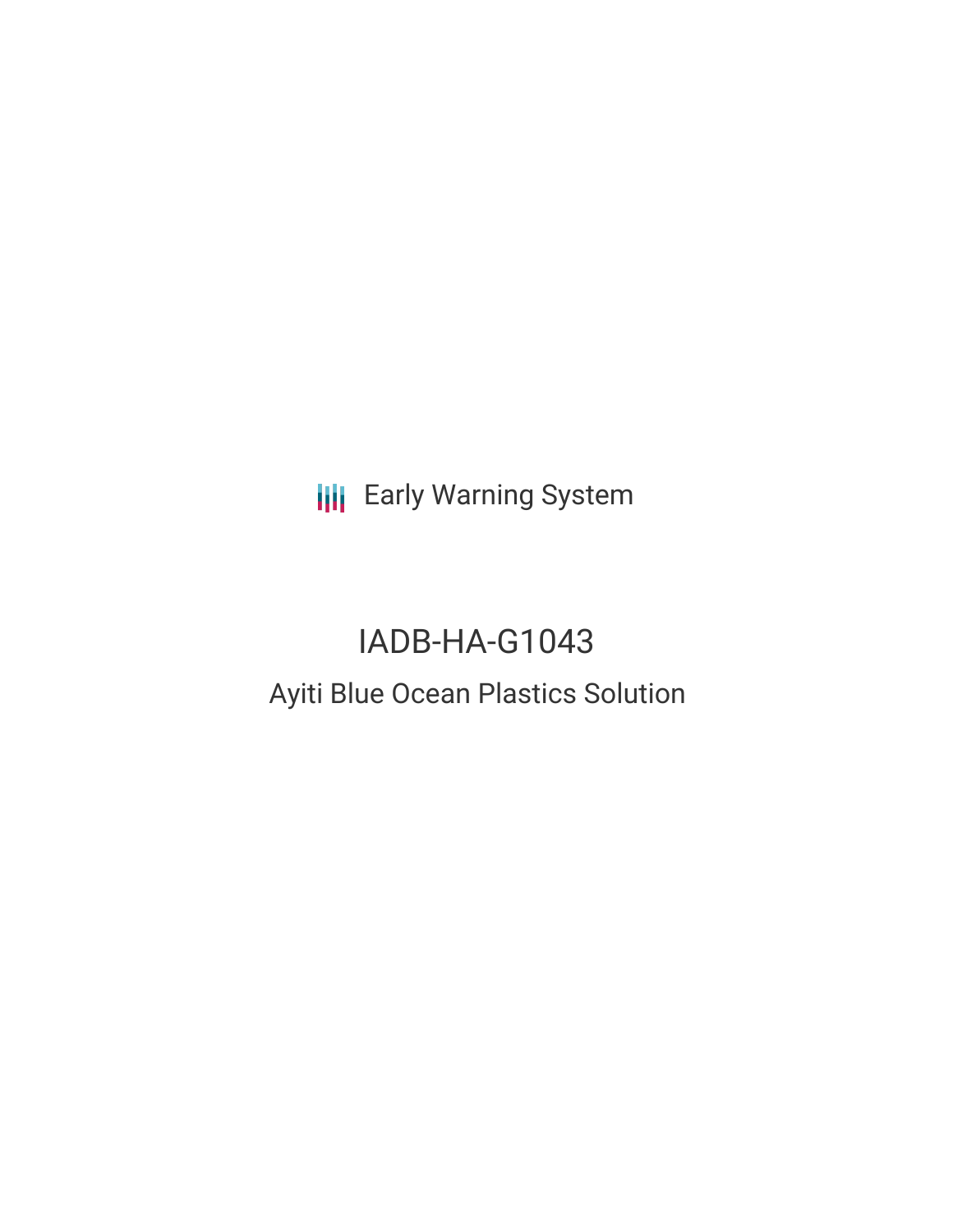**III** Early Warning System

# IADB-HA-G1043 Ayiti Blue Ocean Plastics Solution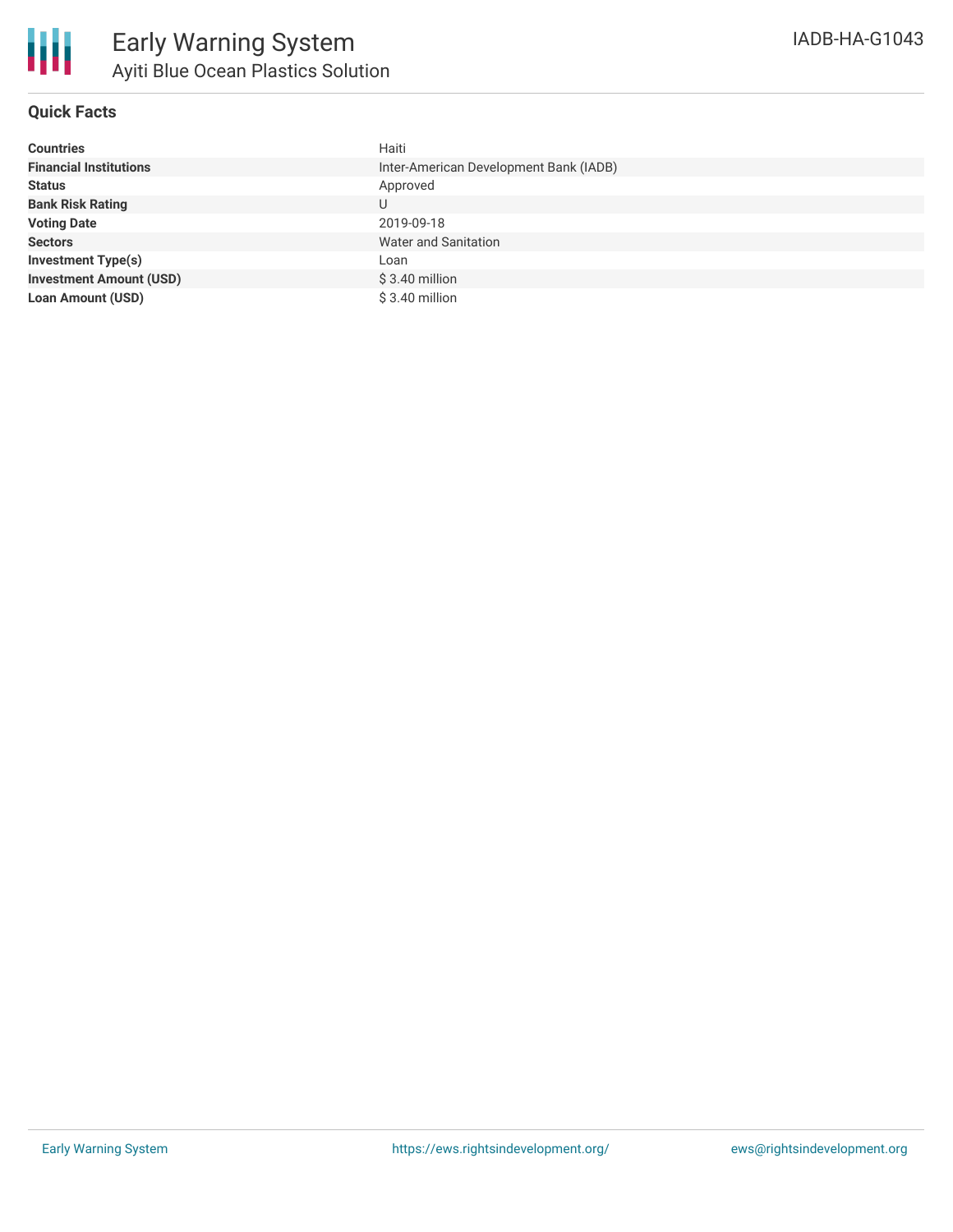| <b>Countries</b>               | Haiti                                  |
|--------------------------------|----------------------------------------|
| <b>Financial Institutions</b>  | Inter-American Development Bank (IADB) |
| <b>Status</b>                  | Approved                               |
| <b>Bank Risk Rating</b>        | U                                      |
| <b>Voting Date</b>             | 2019-09-18                             |
| <b>Sectors</b>                 | Water and Sanitation                   |
| <b>Investment Type(s)</b>      | Loan                                   |
| <b>Investment Amount (USD)</b> | $$3.40$ million                        |
| <b>Loan Amount (USD)</b>       | $$3.40$ million                        |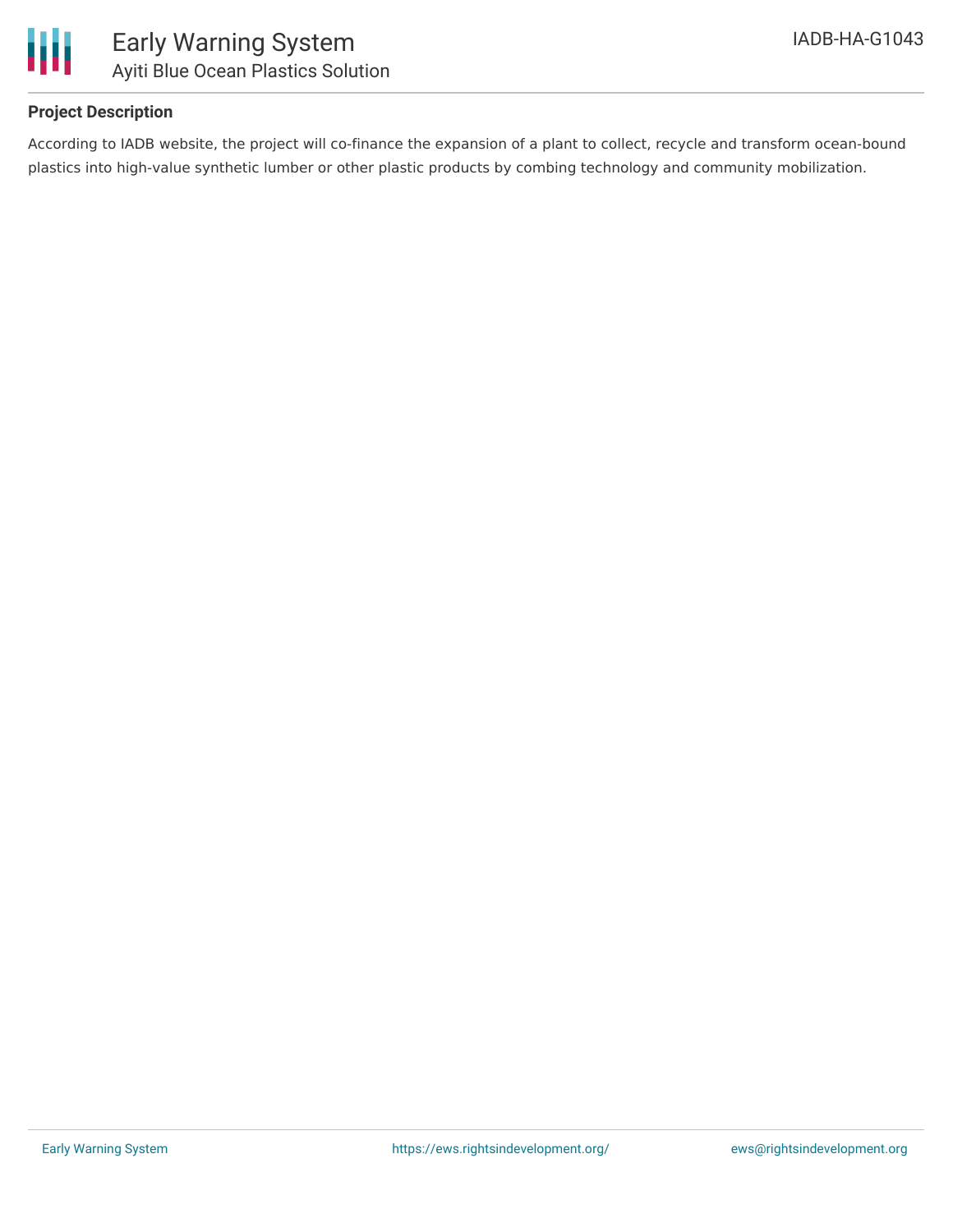



## **Project Description**

According to IADB website, the project will co-finance the expansion of a plant to collect, recycle and transform ocean-bound plastics into high-value synthetic lumber or other plastic products by combing technology and community mobilization.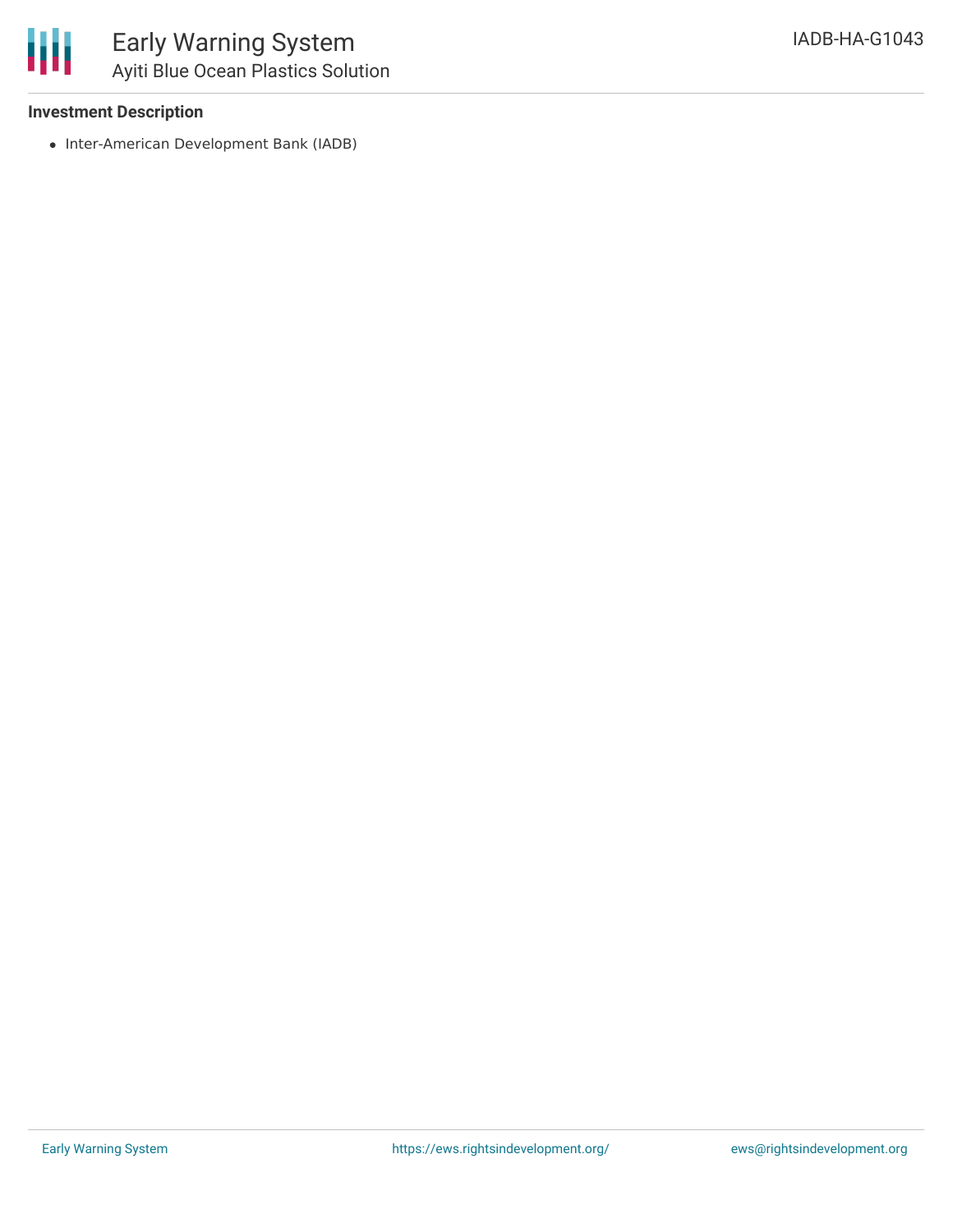

### **Investment Description**

• Inter-American Development Bank (IADB)